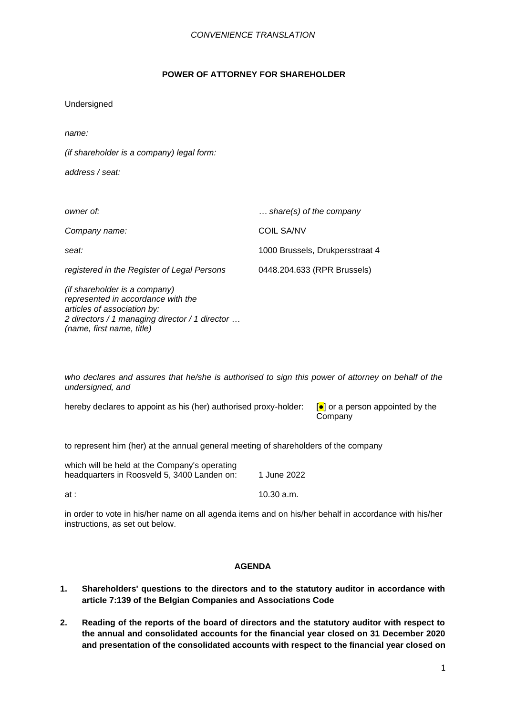### **POWER OF ATTORNEY FOR SHAREHOLDER**

| Undersigned |  |
|-------------|--|
|             |  |

*name:*

*(if shareholder is a company) legal form:*

*address / seat:*

| owner of:                                                                                                                                                                         | $\ldots$ share(s) of the company |
|-----------------------------------------------------------------------------------------------------------------------------------------------------------------------------------|----------------------------------|
| Company name:                                                                                                                                                                     | <b>COIL SA/NV</b>                |
| seat:                                                                                                                                                                             | 1000 Brussels, Drukpersstraat 4  |
| registered in the Register of Legal Persons                                                                                                                                       | 0448.204.633 (RPR Brussels)      |
| (if shareholder is a company)<br>represented in accordance with the<br>articles of association by:<br>2 directors / 1 managing director / 1 director<br>(name, first name, title) |                                  |

*who declares and assures that he/she is authorised to sign this power of attorney on behalf of the undersigned, and* 

hereby declares to appoint as his (her) authorised proxy-holder: [*●*] or a person appointed by the

Company

to represent him (her) at the annual general meeting of shareholders of the company

| which will be held at the Company's operating<br>headquarters in Roosveld 5, 3400 Landen on: | 1 June 2022 |
|----------------------------------------------------------------------------------------------|-------------|
| at :                                                                                         | 10.30 a.m.  |

in order to vote in his/her name on all agenda items and on his/her behalf in accordance with his/her instructions, as set out below.

# **AGENDA**

- **1. Shareholders' questions to the directors and to the statutory auditor in accordance with article 7:139 of the Belgian Companies and Associations Code**
- **2. Reading of the reports of the board of directors and the statutory auditor with respect to the annual and consolidated accounts for the financial year closed on 31 December 2020 and presentation of the consolidated accounts with respect to the financial year closed on**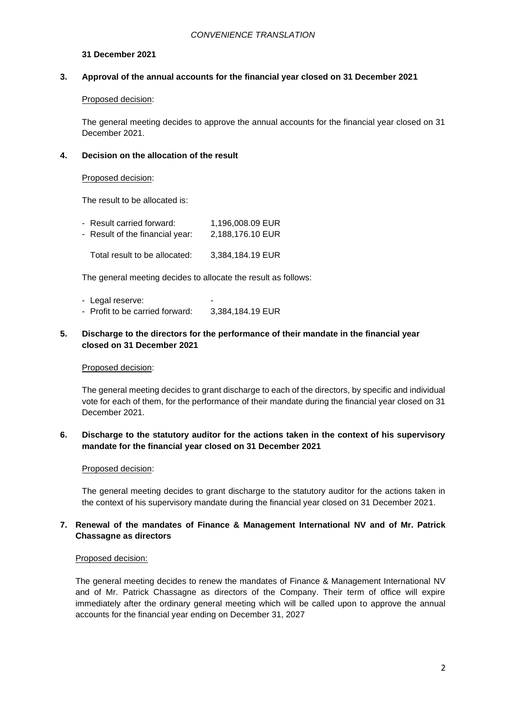### **31 December 2021**

### **3. Approval of the annual accounts for the financial year closed on 31 December 2021**

#### Proposed decision:

The general meeting decides to approve the annual accounts for the financial year closed on 31 December 2021.

#### **4. Decision on the allocation of the result**

#### Proposed decision:

The result to be allocated is:

| - Result carried forward:       | 1,196,008.09 EUR |
|---------------------------------|------------------|
| - Result of the financial year: | 2.188.176.10 EUR |
| Total result to be allocated:   | 3,384,184.19 EUR |

The general meeting decides to allocate the result as follows:

- Legal reserve: - Profit to be carried forward: 3,384,184.19 EUR
- **5. Discharge to the directors for the performance of their mandate in the financial year closed on 31 December 2021**

### Proposed decision:

The general meeting decides to grant discharge to each of the directors, by specific and individual vote for each of them, for the performance of their mandate during the financial year closed on 31 December 2021.

# **6. Discharge to the statutory auditor for the actions taken in the context of his supervisory mandate for the financial year closed on 31 December 2021**

### Proposed decision:

The general meeting decides to grant discharge to the statutory auditor for the actions taken in the context of his supervisory mandate during the financial year closed on 31 December 2021.

# **7. Renewal of the mandates of Finance & Management International NV and of Mr. Patrick Chassagne as directors**

#### Proposed decision:

The general meeting decides to renew the mandates of Finance & Management International NV and of Mr. Patrick Chassagne as directors of the Company. Their term of office will expire immediately after the ordinary general meeting which will be called upon to approve the annual accounts for the financial year ending on December 31, 2027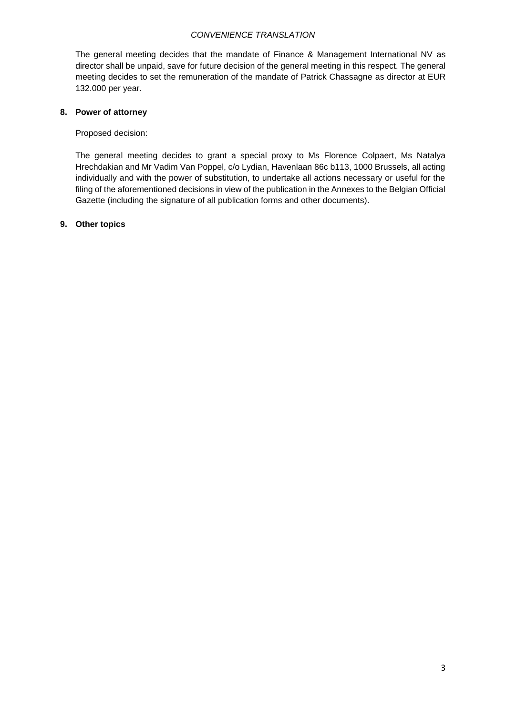# *CONVENIENCE TRANSLATION*

The general meeting decides that the mandate of Finance & Management International NV as director shall be unpaid, save for future decision of the general meeting in this respect. The general meeting decides to set the remuneration of the mandate of Patrick Chassagne as director at EUR 132.000 per year.

# **8. Power of attorney**

### Proposed decision:

The general meeting decides to grant a special proxy to Ms Florence Colpaert, Ms Natalya Hrechdakian and Mr Vadim Van Poppel, c/o Lydian, Havenlaan 86c b113, 1000 Brussels, all acting individually and with the power of substitution, to undertake all actions necessary or useful for the filing of the aforementioned decisions in view of the publication in the Annexes to the Belgian Official Gazette (including the signature of all publication forms and other documents).

### **9. Other topics**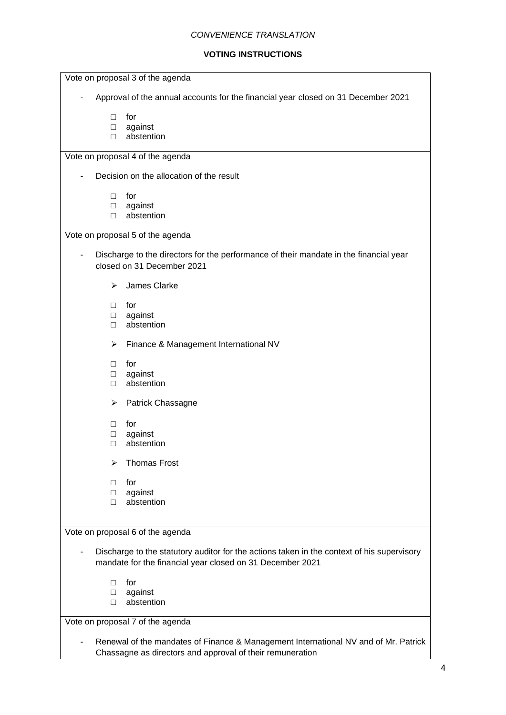#### *CONVENIENCE TRANSLATION*

# **VOTING INSTRUCTIONS**

| Vote on proposal 3 of the agenda                                                                                                                        |  |  |  |  |
|---------------------------------------------------------------------------------------------------------------------------------------------------------|--|--|--|--|
| Approval of the annual accounts for the financial year closed on 31 December 2021                                                                       |  |  |  |  |
| for<br>П                                                                                                                                                |  |  |  |  |
| against<br>$\Box$                                                                                                                                       |  |  |  |  |
| abstention<br>П                                                                                                                                         |  |  |  |  |
| Vote on proposal 4 of the agenda                                                                                                                        |  |  |  |  |
| Decision on the allocation of the result                                                                                                                |  |  |  |  |
| for<br>$\Box$                                                                                                                                           |  |  |  |  |
| against<br>□                                                                                                                                            |  |  |  |  |
| abstention<br>П                                                                                                                                         |  |  |  |  |
| Vote on proposal 5 of the agenda                                                                                                                        |  |  |  |  |
| Discharge to the directors for the performance of their mandate in the financial year                                                                   |  |  |  |  |
| closed on 31 December 2021                                                                                                                              |  |  |  |  |
| James Clarke<br>≻                                                                                                                                       |  |  |  |  |
| for<br>П                                                                                                                                                |  |  |  |  |
| against<br>$\Box$                                                                                                                                       |  |  |  |  |
| abstention<br>$\Box$                                                                                                                                    |  |  |  |  |
| Finance & Management International NV<br>➤                                                                                                              |  |  |  |  |
| for<br>П                                                                                                                                                |  |  |  |  |
| against<br>$\Box$                                                                                                                                       |  |  |  |  |
| abstention<br>$\Box$                                                                                                                                    |  |  |  |  |
| ➤<br>Patrick Chassagne                                                                                                                                  |  |  |  |  |
| for<br>$\Box$                                                                                                                                           |  |  |  |  |
| against<br>$\Box$                                                                                                                                       |  |  |  |  |
| abstention<br>П                                                                                                                                         |  |  |  |  |
| <b>Thomas Frost</b><br>⋗                                                                                                                                |  |  |  |  |
| for<br>П                                                                                                                                                |  |  |  |  |
| against<br>$\Box$                                                                                                                                       |  |  |  |  |
| abstention<br>$\Box$                                                                                                                                    |  |  |  |  |
|                                                                                                                                                         |  |  |  |  |
| Vote on proposal 6 of the agenda                                                                                                                        |  |  |  |  |
|                                                                                                                                                         |  |  |  |  |
| Discharge to the statutory auditor for the actions taken in the context of his supervisory<br>mandate for the financial year closed on 31 December 2021 |  |  |  |  |
| for<br>$\Box$                                                                                                                                           |  |  |  |  |
| against<br>$\Box$                                                                                                                                       |  |  |  |  |
| abstention<br>$\Box$                                                                                                                                    |  |  |  |  |
| Vote on proposal 7 of the agenda                                                                                                                        |  |  |  |  |
|                                                                                                                                                         |  |  |  |  |

- Renewal of the mandates of Finance & Management International NV and of Mr. Patrick Chassagne as directors and approval of their remuneration